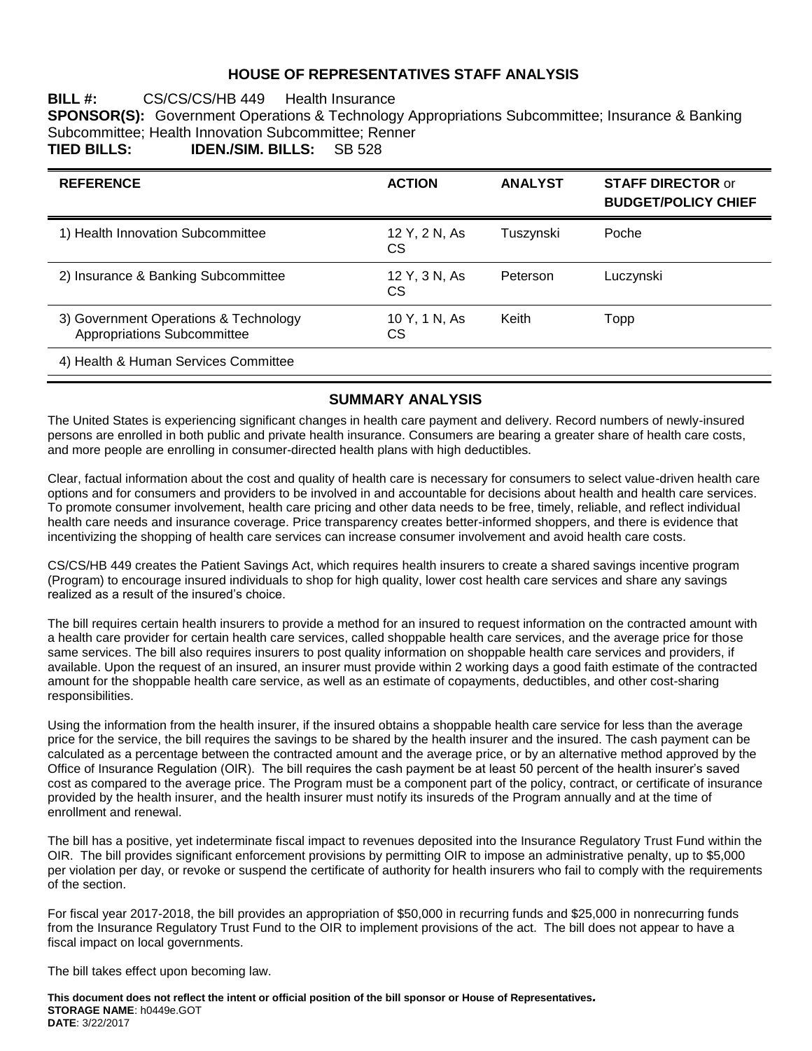### **HOUSE OF REPRESENTATIVES STAFF ANALYSIS**

### **BILL #:** CS/CS/CS/HB 449 Health Insurance **SPONSOR(S):** Government Operations & Technology Appropriations Subcommittee; Insurance & Banking Subcommittee; Health Innovation Subcommittee; Renner<br>TIED BILLS: IDEN./SIM. BILLS: SB 528 **TIED BILLS: IDEN./SIM. BILLS:** SB 528

| <b>REFERENCE</b>                                                     | <b>ACTION</b>       | <b>ANALYST</b> | <b>STAFF DIRECTOR or</b><br><b>BUDGET/POLICY CHIEF</b> |
|----------------------------------------------------------------------|---------------------|----------------|--------------------------------------------------------|
| 1) Health Innovation Subcommittee                                    | 12 Y, 2 N, As<br>СS | Tuszynski      | Poche                                                  |
| 2) Insurance & Banking Subcommittee                                  | 12 Y, 3 N, As<br>СS | Peterson       | Luczynski                                              |
| 3) Government Operations & Technology<br>Appropriations Subcommittee | 10 Y, 1 N, As<br>СS | Keith          | Topp                                                   |
| 4) Health & Human Services Committee                                 |                     |                |                                                        |

### **SUMMARY ANALYSIS**

The United States is experiencing significant changes in health care payment and delivery. Record numbers of newly-insured persons are enrolled in both public and private health insurance. Consumers are bearing a greater share of health care costs, and more people are enrolling in consumer-directed health plans with high deductibles.

Clear, factual information about the cost and quality of health care is necessary for consumers to select value-driven health care options and for consumers and providers to be involved in and accountable for decisions about health and health care services. To promote consumer involvement, health care pricing and other data needs to be free, timely, reliable, and reflect individual health care needs and insurance coverage. Price transparency creates better-informed shoppers, and there is evidence that incentivizing the shopping of health care services can increase consumer involvement and avoid health care costs.

CS/CS/HB 449 creates the Patient Savings Act, which requires health insurers to create a shared savings incentive program (Program) to encourage insured individuals to shop for high quality, lower cost health care services and share any savings realized as a result of the insured's choice.

The bill requires certain health insurers to provide a method for an insured to request information on the contracted amount with a health care provider for certain health care services, called shoppable health care services, and the average price for those same services. The bill also requires insurers to post quality information on shoppable health care services and providers, if available. Upon the request of an insured, an insurer must provide within 2 working days a good faith estimate of the contracted amount for the shoppable health care service, as well as an estimate of copayments, deductibles, and other cost-sharing responsibilities.

Using the information from the health insurer, if the insured obtains a shoppable health care service for less than the average price for the service, the bill requires the savings to be shared by the health insurer and the insured. The cash payment can be calculated as a percentage between the contracted amount and the average price, or by an alternative method approved by the Office of Insurance Regulation (OIR). The bill requires the cash payment be at least 50 percent of the health insurer's saved cost as compared to the average price. The Program must be a component part of the policy, contract, or certificate of insurance provided by the health insurer, and the health insurer must notify its insureds of the Program annually and at the time of enrollment and renewal.

The bill has a positive, yet indeterminate fiscal impact to revenues deposited into the Insurance Regulatory Trust Fund within the OIR. The bill provides significant enforcement provisions by permitting OIR to impose an administrative penalty, up to \$5,000 per violation per day, or revoke or suspend the certificate of authority for health insurers who fail to comply with the requirements of the section.

For fiscal year 2017-2018, the bill provides an appropriation of \$50,000 in recurring funds and \$25,000 in nonrecurring funds from the Insurance Regulatory Trust Fund to the OIR to implement provisions of the act. The bill does not appear to have a fiscal impact on local governments.

The bill takes effect upon becoming law.

**This document does not reflect the intent or official position of the bill sponsor or House of Representatives***.* **STORAGE NAME**: h0449e.GOT **DATE**: 3/22/2017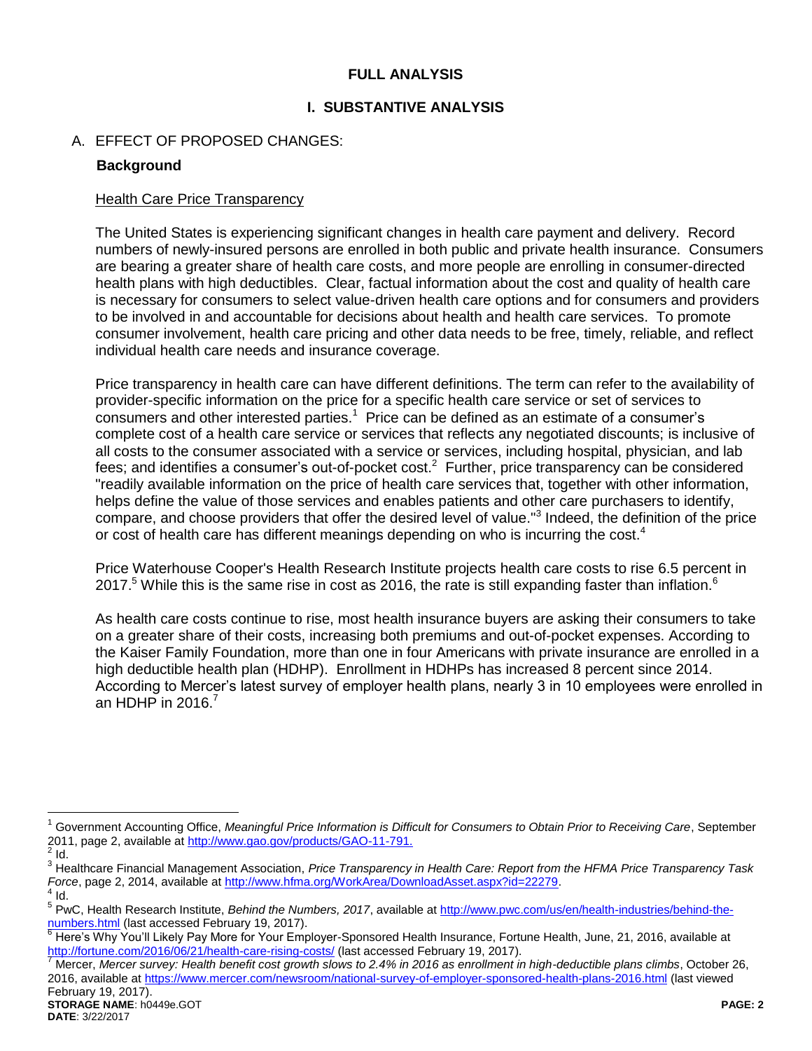### **FULL ANALYSIS**

### **I. SUBSTANTIVE ANALYSIS**

# A. EFFECT OF PROPOSED CHANGES:

### **Background**

#### Health Care Price Transparency

The United States is experiencing significant changes in health care payment and delivery. Record numbers of newly-insured persons are enrolled in both public and private health insurance. Consumers are bearing a greater share of health care costs, and more people are enrolling in consumer-directed health plans with high deductibles. Clear, factual information about the cost and quality of health care is necessary for consumers to select value-driven health care options and for consumers and providers to be involved in and accountable for decisions about health and health care services. To promote consumer involvement, health care pricing and other data needs to be free, timely, reliable, and reflect individual health care needs and insurance coverage.

Price transparency in health care can have different definitions. The term can refer to the availability of provider-specific information on the price for a specific health care service or set of services to consumers and other interested parties.<sup>1</sup> Price can be defined as an estimate of a consumer's complete cost of a health care service or services that reflects any negotiated discounts; is inclusive of all costs to the consumer associated with a service or services, including hospital, physician, and lab fees; and identifies a consumer's out-of-pocket cost.<sup>2</sup> Further, price transparency can be considered "readily available information on the price of health care services that, together with other information, helps define the value of those services and enables patients and other care purchasers to identify, compare, and choose providers that offer the desired level of value."<sup>3</sup> Indeed, the definition of the price or cost of health care has different meanings depending on who is incurring the cost.<sup>4</sup>

Price Waterhouse Cooper's Health Research Institute projects health care costs to rise 6.5 percent in 2017.<sup>5</sup> While this is the same rise in cost as 2016, the rate is still expanding faster than inflation.<sup>6</sup>

As health care costs continue to rise, most health insurance buyers are asking their consumers to take on a greater share of their costs, increasing both premiums and out-of-pocket expenses. According to the Kaiser Family Foundation, more than one in four Americans with private insurance are enrolled in a high deductible health plan (HDHP). Enrollment in HDHPs has increased 8 percent since 2014. According to Mercer's latest survey of employer health plans, nearly 3 in 10 employees were enrolled in an HDHP in  $2016$ .<sup>7</sup>

<sup>&</sup>lt;sup>1</sup> Government Accounting Office, Meaningful Price Information is Difficult for Consumers to Obtain Prior to Receiving Care, September 2011, page 2, available a[t http://www.gao.gov/products/GAO-11-791.](http://www.gao.gov/products/GAO-11-791)  $\frac{2}{3}$  Id.

<sup>3</sup> Healthcare Financial Management Association, *Price Transparency in Health Care: Report from the HFMA Price Transparency Task Force*, page 2, 2014, available at <u>http://www.hfma.org/WorkArea/DownloadAsset.aspx?id=22279</u>.<br><sup>4</sup> Id.

<sup>&</sup>lt;sup>5</sup> PwC, Health Research Institute, *Behind the Numbers, 2017*, available at [http://www.pwc.com/us/en/health-industries/behind-the](http://www.pwc.com/us/en/health-industries/behind-the-numbers.html)[numbers.html](http://www.pwc.com/us/en/health-industries/behind-the-numbers.html) (last accessed February 19, 2017).

<sup>&</sup>lt;sup>6</sup> Here's Why You'll Likely Pay More for Your Employer-Sponsored Health Insurance, Fortune Health, June, 21, 2016, available at <http://fortune.com/2016/06/21/health-care-rising-costs/> (last accessed February 19, 2017).

<sup>7</sup> Mercer, *Mercer survey: Health benefit cost growth slows to 2.4% in 2016 as enrollment in high-deductible plans climbs*, October 26, 2016, available at<https://www.mercer.com/newsroom/national-survey-of-employer-sponsored-health-plans-2016.html> (last viewed February 19, 2017).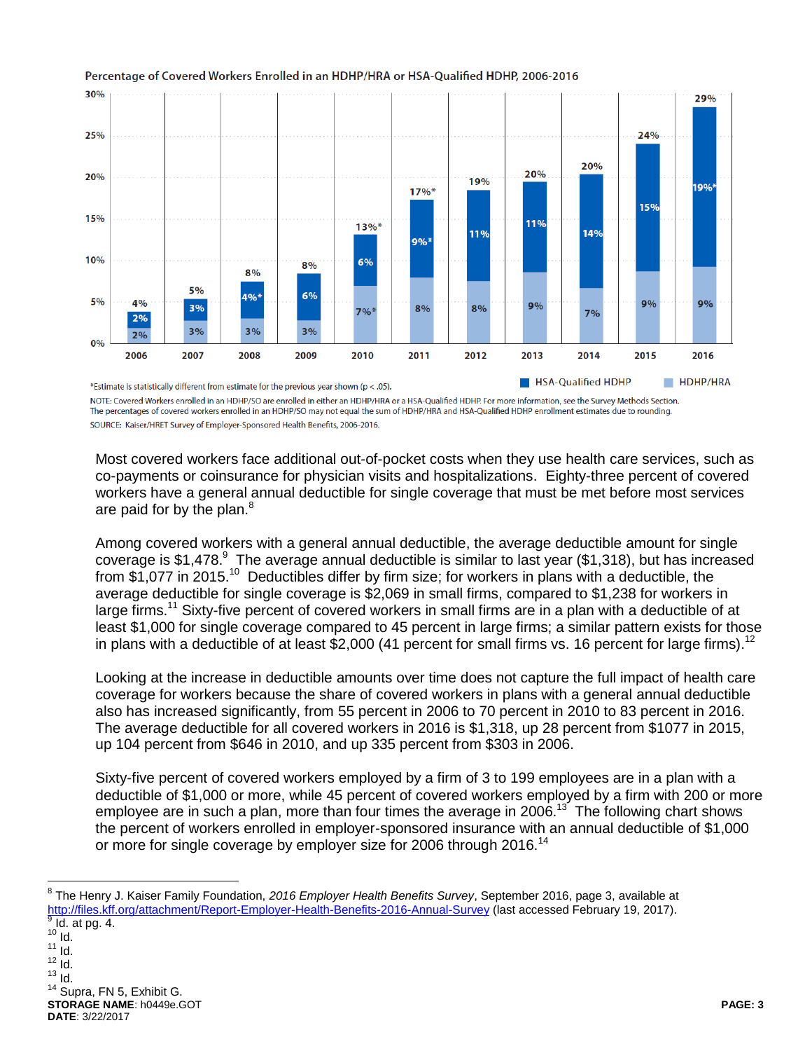

#### Percentage of Covered Workers Enrolled in an HDHP/HRA or HSA-Qualified HDHP, 2006-2016

NOTE: Covered Workers enrolled in an HDHP/SO are enrolled in either an HDHP/HRA or a HSA-Qualified HDHP. For more information, see the Survey Methods Section. The percentages of covered workers enrolled in an HDHP/SO may not equal the sum of HDHP/HRA and HSA-Qualified HDHP enrollment estimates due to rounding. SOURCE: Kaiser/HRET Survey of Employer-Sponsored Health Benefits, 2006-2016.

Most covered workers face additional out-of-pocket costs when they use health care services, such as co-payments or coinsurance for physician visits and hospitalizations. Eighty-three percent of covered workers have a general annual deductible for single coverage that must be met before most services are paid for by the plan.<sup>8</sup>

Among covered workers with a general annual deductible, the average deductible amount for single coverage is \$1,478. $^9\,$  The average annual deductible is similar to last year (\$1,318), but has increased from \$1,077 in 2015.<sup>10</sup> Deductibles differ by firm size; for workers in plans with a deductible, the average deductible for single coverage is \$2,069 in small firms, compared to \$1,238 for workers in large firms.<sup>11</sup> Sixty-five percent of covered workers in small firms are in a plan with a deductible of at least \$1,000 for single coverage compared to 45 percent in large firms; a similar pattern exists for those in plans with a deductible of at least \$2,000 (41 percent for small firms vs. 16 percent for large firms).<sup>12</sup>

Looking at the increase in deductible amounts over time does not capture the full impact of health care coverage for workers because the share of covered workers in plans with a general annual deductible also has increased significantly, from 55 percent in 2006 to 70 percent in 2010 to 83 percent in 2016. The average deductible for all covered workers in 2016 is \$1,318, up 28 percent from \$1077 in 2015, up 104 percent from \$646 in 2010, and up 335 percent from \$303 in 2006.

Sixty-five percent of covered workers employed by a firm of 3 to 199 employees are in a plan with a deductible of \$1,000 or more, while 45 percent of covered workers employed by a firm with 200 or more employee are in such a plan, more than four times the average in 2006.<sup>13</sup> The following chart shows the percent of workers enrolled in employer-sponsored insurance with an annual deductible of \$1,000 or more for single coverage by employer size for 2006 through 2016.<sup>14</sup>

 $10$  Id.  $11$   $\overline{1}$ d.  $12$   $\overline{1}$ d.  $13$  Id. <sup>14</sup> Supra, FN 5, Exhibit G.

 $\overline{a}$ 

**STORAGE NAME**: h0449e.GOT **PAGE: 3 DATE**: 3/22/2017

<sup>8</sup> The Henry J. Kaiser Family Foundation, *2016 Employer Health Benefits Survey*, September 2016, page 3, available at <http://files.kff.org/attachment/Report-Employer-Health-Benefits-2016-Annual-Survey> (last accessed February 19, 2017).  $<sup>9</sup>$  Id. at pg. 4.</sup>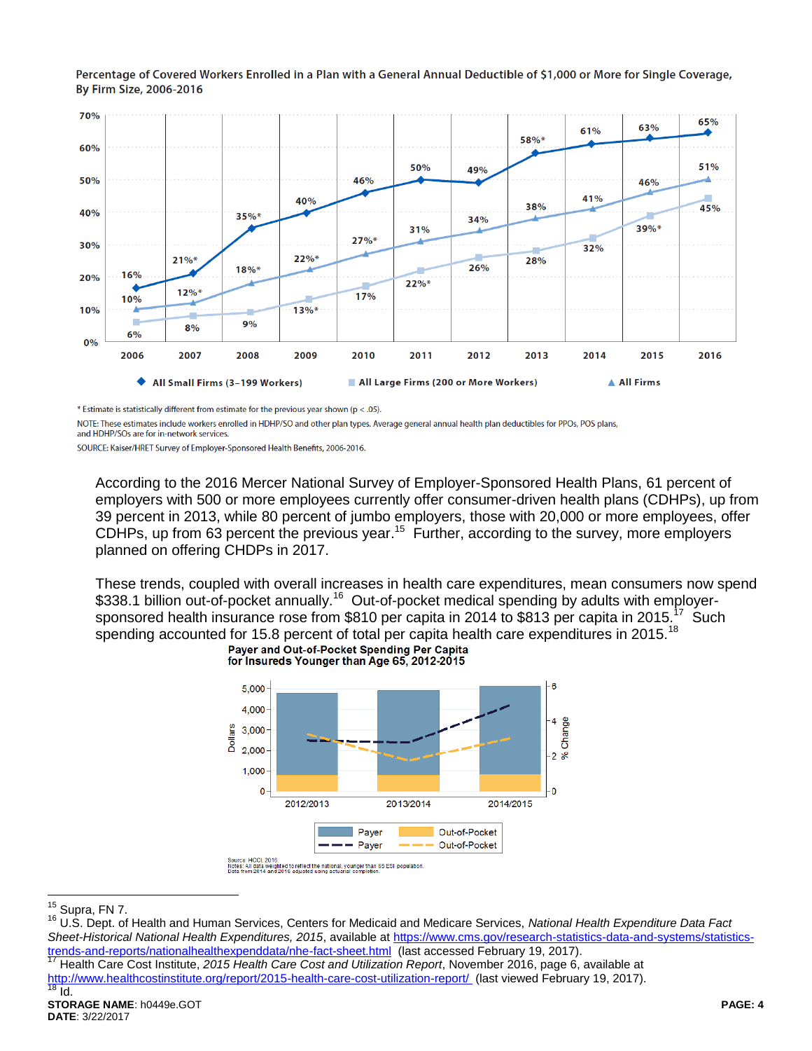Percentage of Covered Workers Enrolled in a Plan with a General Annual Deductible of \$1,000 or More for Single Coverage, By Firm Size, 2006-2016



\* Estimate is statistically different from estimate for the previous year shown ( $p < .05$ ).

NOTE: These estimates include workers enrolled in HDHP/SO and other plan types. Average general annual health plan deductibles for PPOs, POS plans, and HDHP/SOs are for in-network services.

SOURCE: Kaiser/HRET Survey of Employer-Sponsored Health Benefits, 2006-2016.

According to the 2016 Mercer National Survey of Employer-Sponsored Health Plans, 61 percent of employers with 500 or more employees currently offer consumer-driven health plans (CDHPs), up from 39 percent in 2013, while 80 percent of jumbo employers, those with 20,000 or more employees, offer CDHPs, up from 63 percent the previous year.<sup>15</sup> Further, according to the survey, more employers planned on offering CHDPs in 2017.

These trends, coupled with overall increases in health care expenditures, mean consumers now spend \$338.1 billion out-of-pocket annually.<sup>16</sup> Out-of-pocket medical spending by adults with employersponsored health insurance rose from \$810 per capita in 2014 to \$813 per capita in 2015.<sup>17</sup> Such spending accounted for 15.8 percent of total per capita health care expenditures in 2015.<sup>18</sup><br>Paver and Out-of-Pocket Spending Per Capita



for Insureds Younger than Age 65, 2012-2015

 $15$  Supra, FN 7.

<sup>16</sup> U.S. Dept. of Health and Human Services, Centers for Medicaid and Medicare Services, *National Health Expenditure Data Fact Sheet-Historical National Health Expenditures, 2015*, available a[t https://www.cms.gov/research-statistics-data-and-systems/statistics](https://www.cms.gov/research-statistics-data-and-systems/statistics-trends-and-reports/nationalhealthexpenddata/nhe-fact-sheet.html)[trends-and-reports/nationalhealthexpenddata/nhe-fact-sheet.html](https://www.cms.gov/research-statistics-data-and-systems/statistics-trends-and-reports/nationalhealthexpenddata/nhe-fact-sheet.html) (last accessed February 19, 2017).

<sup>17</sup> Health Care Cost Institute, *2015 Health Care Cost and Utilization Report*, November 2016, page 6, available at <http://www.healthcostinstitute.org/report/2015-health-care-cost-utilization-report/>(last viewed February 19, 2017).<br><sup>18</sup> Id  $\overline{Id}$ .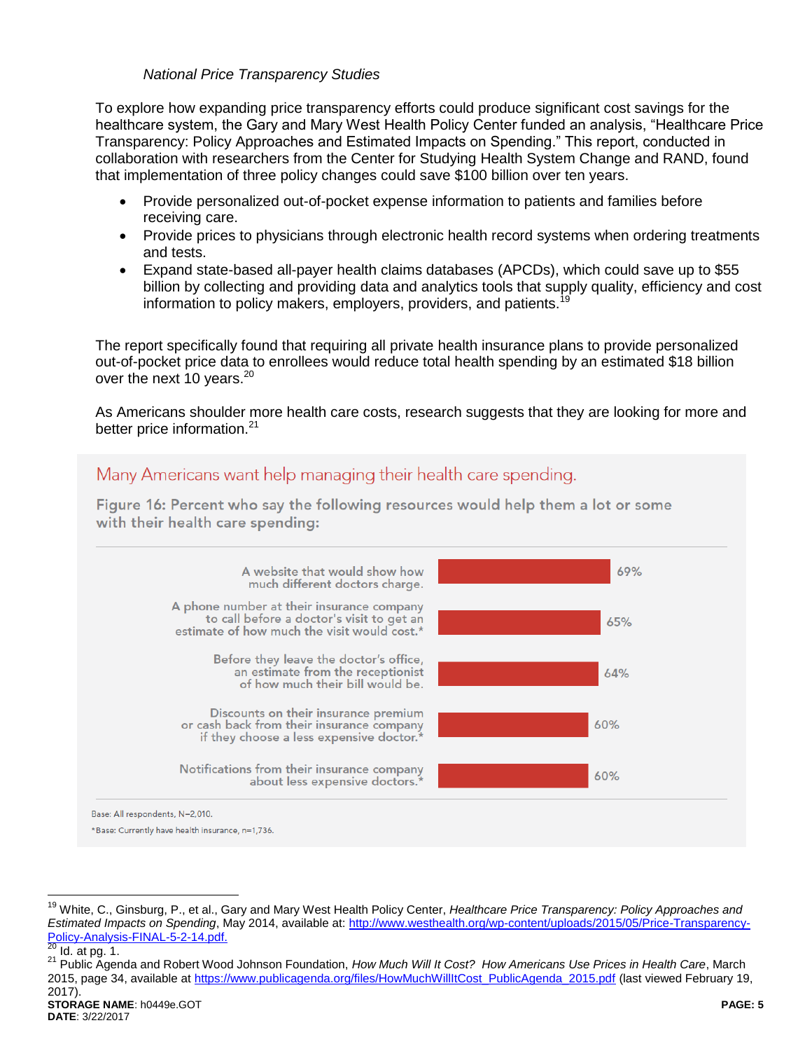#### *National Price Transparency Studies*

To explore how expanding price transparency efforts could produce significant cost savings for the healthcare system, the Gary and Mary West Health Policy Center funded an analysis, "Healthcare Price Transparency: Policy Approaches and Estimated Impacts on Spending." This report, conducted in collaboration with researchers from the Center for Studying Health System Change and RAND, found that implementation of three policy changes could save \$100 billion over ten years.

- Provide personalized out-of-pocket expense information to patients and families before receiving care.
- Provide prices to physicians through electronic health record systems when ordering treatments and tests.
- Expand state-based all-payer health claims databases (APCDs), which could save up to \$55 billion by collecting and providing data and analytics tools that supply quality, efficiency and cost information to policy makers, employers, providers, and patients.<sup>19</sup>

The report specifically found that requiring all private health insurance plans to provide personalized out-of-pocket price data to enrollees would reduce total health spending by an estimated \$18 billion over the next 10 years.<sup>20</sup>

As Americans shoulder more health care costs, research suggests that they are looking for more and better price information.<sup>21</sup>



<sup>19</sup> White, C., Ginsburg, P., et al., Gary and Mary West Health Policy Center, *Healthcare Price Transparency: Policy Approaches and Estimated Impacts on Spending*, May 2014, available at: [http://www.westhealth.org/wp-content/uploads/2015/05/Price-Transparency-](http://www.westhealth.org/wp-content/uploads/2015/05/Price-Transparency-Policy-Analysis-FINAL-5-2-14.pdf)[Policy-Analysis-FINAL-5-2-14.pdf.](http://www.westhealth.org/wp-content/uploads/2015/05/Price-Transparency-Policy-Analysis-FINAL-5-2-14.pdf)<br>20 Id. other 1

 $Id.$  at pg. 1.

<sup>21</sup> Public Agenda and Robert Wood Johnson Foundation, *How Much Will It Cost? How Americans Use Prices in Health Care*, March 2015, page 34, available a[t https://www.publicagenda.org/files/HowMuchWillItCost\\_PublicAgenda\\_2015.pdf](https://www.publicagenda.org/files/HowMuchWillItCost_PublicAgenda_2015.pdf) (last viewed February 19, 2017).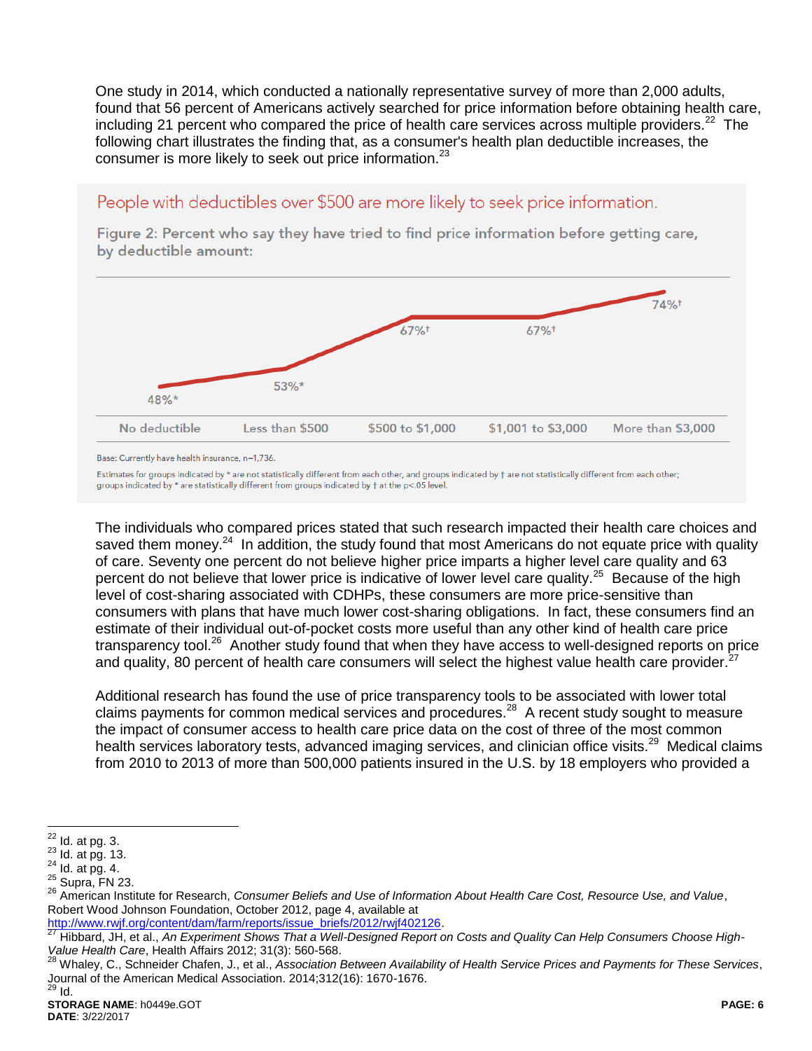One study in 2014, which conducted a nationally representative survey of more than 2,000 adults, found that 56 percent of Americans actively searched for price information before obtaining health care, including 21 percent who compared the price of health care services across multiple providers.<sup>22</sup> The following chart illustrates the finding that, as a consumer's health plan deductible increases, the consumer is more likely to seek out price information.<sup>23</sup>

# People with deductibles over \$500 are more likely to seek price information.

Figure 2: Percent who say they have tried to find price information before getting care, by deductible amount:



Base: Currently have health insurance, n=1,736.

Estimates for groups indicated by \* are not statistically different from each other, and groups indicated by † are not statistically different from each other; groups indicated by \* are statistically different from groups indicated by † at the p<.05 level.

The individuals who compared prices stated that such research impacted their health care choices and saved them money.<sup>24</sup> In addition, the study found that most Americans do not equate price with quality of care. Seventy one percent do not believe higher price imparts a higher level care quality and 63 percent do not believe that lower price is indicative of lower level care quality.<sup>25</sup> Because of the high level of cost-sharing associated with CDHPs, these consumers are more price-sensitive than consumers with plans that have much lower cost-sharing obligations. In fact, these consumers find an estimate of their individual out-of-pocket costs more useful than any other kind of health care price transparency tool.<sup>26</sup> Another study found that when they have access to well-designed reports on price and quality, 80 percent of health care consumers will select the highest value health care provider.<sup>2</sup>

Additional research has found the use of price transparency tools to be associated with lower total claims payments for common medical services and procedures.<sup>28</sup> A recent study sought to measure the impact of consumer access to health care price data on the cost of three of the most common health services laboratory tests, advanced imaging services, and clinician office visits.<sup>29</sup> Medical claims from 2010 to 2013 of more than 500,000 patients insured in the U.S. by 18 employers who provided a

<sup>22</sup>  $Id.$  at pg.  $3.$ 

 $23$  Id. at pg. 13.

 $24$  Id. at pg. 4.

 $25$  Supra, FN 23.

<sup>26</sup> American Institute for Research, *Consumer Beliefs and Use of Information About Health Care Cost, Resource Use, and Value*, Robert Wood Johnson Foundation, October 2012, page 4, available at

[http://www.rwjf.org/content/dam/farm/reports/issue\\_briefs/2012/rwjf402126.](http://www.rwjf.org/content/dam/farm/reports/issue_briefs/2012/rwjf402126)

<sup>27</sup> Hibbard, JH, et al., *An Experiment Shows That a Well-Designed Report on Costs and Quality Can Help Consumers Choose High-Value Health Care*, Health Affairs 2012; 31(3): 560-568.

<sup>28</sup> Whaley, C., Schneider Chafen, J., et al., *Association Between Availability of Health Service Prices and Payments for These Services*, Journal of the American Medical Association. 2014;312(16): 1670-1676.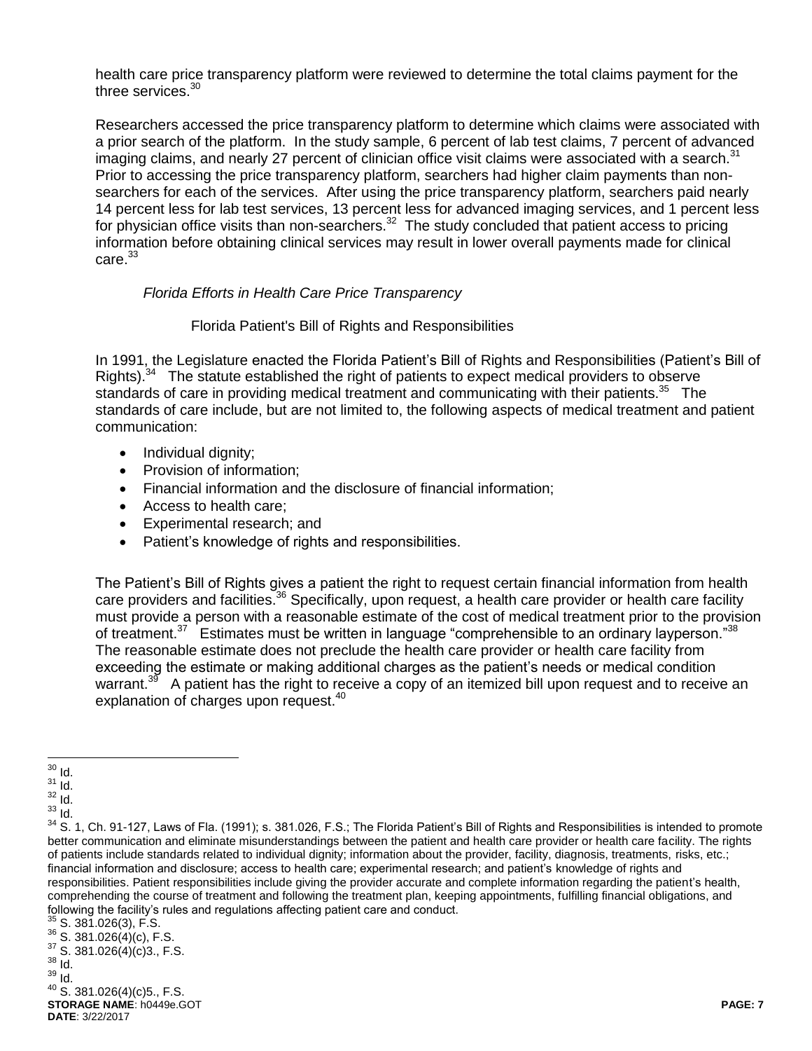health care price transparency platform were reviewed to determine the total claims payment for the three services.<sup>30</sup>

Researchers accessed the price transparency platform to determine which claims were associated with a prior search of the platform. In the study sample, 6 percent of lab test claims, 7 percent of advanced imaging claims, and nearly 27 percent of clinician office visit claims were associated with a search.<sup>31</sup> Prior to accessing the price transparency platform, searchers had higher claim payments than nonsearchers for each of the services. After using the price transparency platform, searchers paid nearly 14 percent less for lab test services, 13 percent less for advanced imaging services, and 1 percent less for physician office visits than non-searchers.<sup>32</sup> The study concluded that patient access to pricing information before obtaining clinical services may result in lower overall payments made for clinical  $carte<sup>33</sup>$ 

#### *Florida Efforts in Health Care Price Transparency*

#### Florida Patient's Bill of Rights and Responsibilities

In 1991, the Legislature enacted the Florida Patient's Bill of Rights and Responsibilities (Patient's Bill of Rights).<sup>34</sup> The statute established the right of patients to expect medical providers to observe standards of care in providing medical treatment and communicating with their patients.<sup>35</sup> The standards of care include, but are not limited to, the following aspects of medical treatment and patient communication:

- Individual dignity;
- Provision of information;
- Financial information and the disclosure of financial information;
- Access to health care;
- Experimental research; and
- Patient's knowledge of rights and responsibilities.

The Patient's Bill of Rights gives a patient the right to request certain financial information from health care providers and facilities.<sup>36</sup> Specifically, upon request, a health care provider or health care facility must provide a person with a reasonable estimate of the cost of medical treatment prior to the provision of treatment.<sup>37</sup> Estimates must be written in language "comprehensible to an ordinary layperson."<sup>38</sup> The reasonable estimate does not preclude the health care provider or health care facility from exceeding the estimate or making additional charges as the patient's needs or medical condition warrant.<sup>39</sup> A patient has the right to receive a copy of an itemized bill upon request and to receive an explanation of charges upon request.<sup>40</sup>

<sup>39</sup> Id.

 $\overline{a}$  $30$  Id.

 $31$   $\dot{I}$ d.

 $\frac{32}{33}$  Id.

<sup>33</sup> Id.

<sup>&</sup>lt;sup>34</sup> S. 1. Ch. 91-127, Laws of Fla. (1991); s. 381.026, F.S.; The Florida Patient's Bill of Rights and Responsibilities is intended to promote better communication and eliminate misunderstandings between the patient and health care provider or health care facility. The rights of patients include standards related to individual dignity; information about the provider, facility, diagnosis, treatments, risks, etc.; financial information and disclosure; access to health care; experimental research; and patient's knowledge of rights and responsibilities. Patient responsibilities include giving the provider accurate and complete information regarding the patient's health, comprehending the course of treatment and following the treatment plan, keeping appointments, fulfilling financial obligations, and following the facility's rules and regulations affecting patient care and conduct.

 $35$  S. 381.026(3), F.S.

 $36$  S. 381.026(4)(c), F.S.

 $37$  S. 381.026(4)(c)3., F.S.

 $38$   $\overline{1}$ d.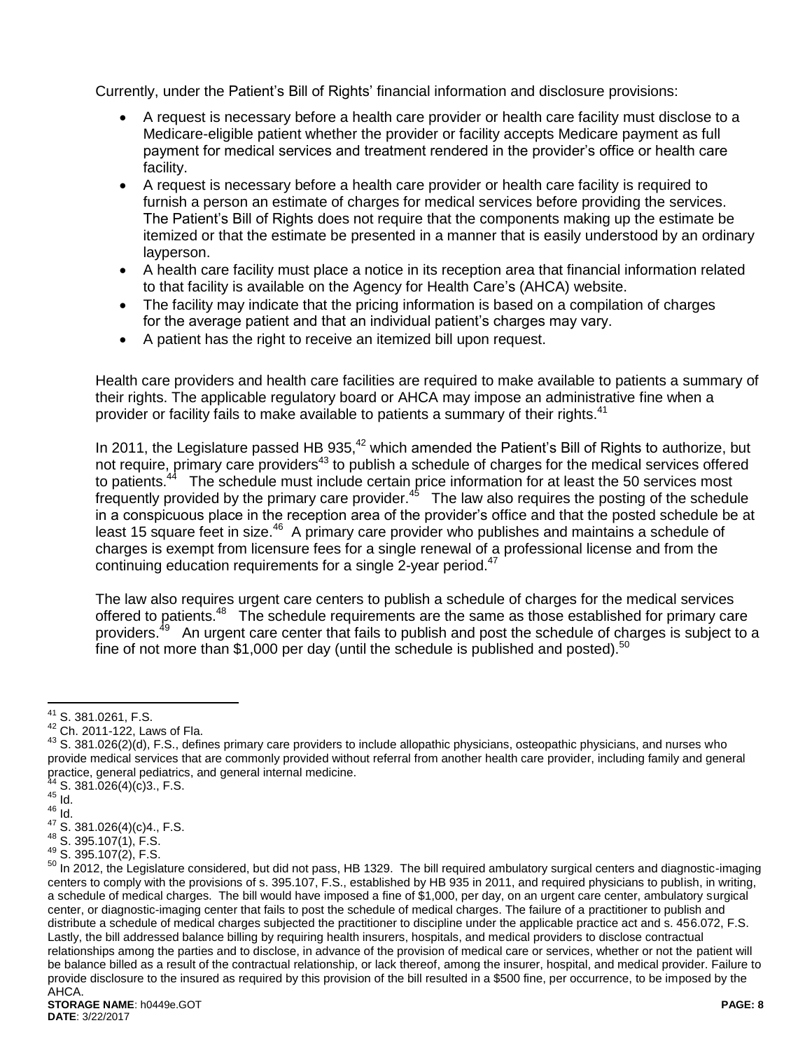Currently, under the Patient's Bill of Rights' financial information and disclosure provisions:

- A request is necessary before a health care provider or health care facility must disclose to a Medicare-eligible patient whether the provider or facility accepts Medicare payment as full payment for medical services and treatment rendered in the provider's office or health care facility.
- A request is necessary before a health care provider or health care facility is required to furnish a person an estimate of charges for medical services before providing the services. The Patient's Bill of Rights does not require that the components making up the estimate be itemized or that the estimate be presented in a manner that is easily understood by an ordinary layperson.
- A health care facility must place a notice in its reception area that financial information related to that facility is available on the Agency for Health Care's (AHCA) website.
- The facility may indicate that the pricing information is based on a compilation of charges for the average patient and that an individual patient's charges may vary.
- A patient has the right to receive an itemized bill upon request.

Health care providers and health care facilities are required to make available to patients a summary of their rights. The applicable regulatory board or AHCA may impose an administrative fine when a provider or facility fails to make available to patients a summary of their rights.<sup>41</sup>

In 2011, the Legislature passed HB 935,<sup>42</sup> which amended the Patient's Bill of Rights to authorize, but not require, primary care providers<sup>43</sup> to publish a schedule of charges for the medical services offered to patients.<sup>44</sup> The schedule must include certain price information for at least the 50 services most frequently provided by the primary care provider.<sup>45</sup> The law also requires the posting of the schedule in a conspicuous place in the reception area of the provider's office and that the posted schedule be at least 15 square feet in size.<sup>46</sup> A primary care provider who publishes and maintains a schedule of charges is exempt from licensure fees for a single renewal of a professional license and from the continuing education requirements for a single 2-year period.<sup>47</sup>

The law also requires urgent care centers to publish a schedule of charges for the medical services offered to patients.<sup>48</sup> The schedule requirements are the same as those established for primary care providers.<sup>49</sup> An urgent care center that fails to publish and post the schedule of charges is subject to a fine of not more than \$1,000 per day (until the schedule is published and posted). $50$ 

 $^{41}$  S. 381.0261, F.S.

<sup>42</sup> Ch. 2011-122, Laws of Fla.

<sup>43</sup> S. 381.026(2)(d), F.S., defines primary care providers to include allopathic physicians, osteopathic physicians, and nurses who provide medical services that are commonly provided without referral from another health care provider, including family and general practice, general pediatrics, and general internal medicine.

 $S. 381.026(4)(c)3., F.S.$ 

 $45$   $\overline{1}$ d.  $46 \overline{10}$ .

 $47$  S. 381.026(4)(c)4., F.S.

<sup>48</sup> S. 395.107(1), F.S.

<sup>49</sup> S. 395.107(2), F.S.

<sup>50</sup> In 2012, the Legislature considered, but did not pass, HB 1329. The bill required ambulatory surgical centers and diagnostic-imaging centers to comply with the provisions of s. 395.107, F.S., established by HB 935 in 2011, and required physicians to publish, in writing, a schedule of medical charges. The bill would have imposed a fine of \$1,000, per day, on an urgent care center, ambulatory surgical center, or diagnostic-imaging center that fails to post the schedule of medical charges. The failure of a practitioner to publish and distribute a schedule of medical charges subjected the practitioner to discipline under the applicable practice act and s. 456.072, F.S. Lastly, the bill addressed balance billing by requiring health insurers, hospitals, and medical providers to disclose contractual relationships among the parties and to disclose, in advance of the provision of medical care or services, whether or not the patient will be balance billed as a result of the contractual relationship, or lack thereof, among the insurer, hospital, and medical provider. Failure to provide disclosure to the insured as required by this provision of the bill resulted in a \$500 fine, per occurrence, to be imposed by the AHCA.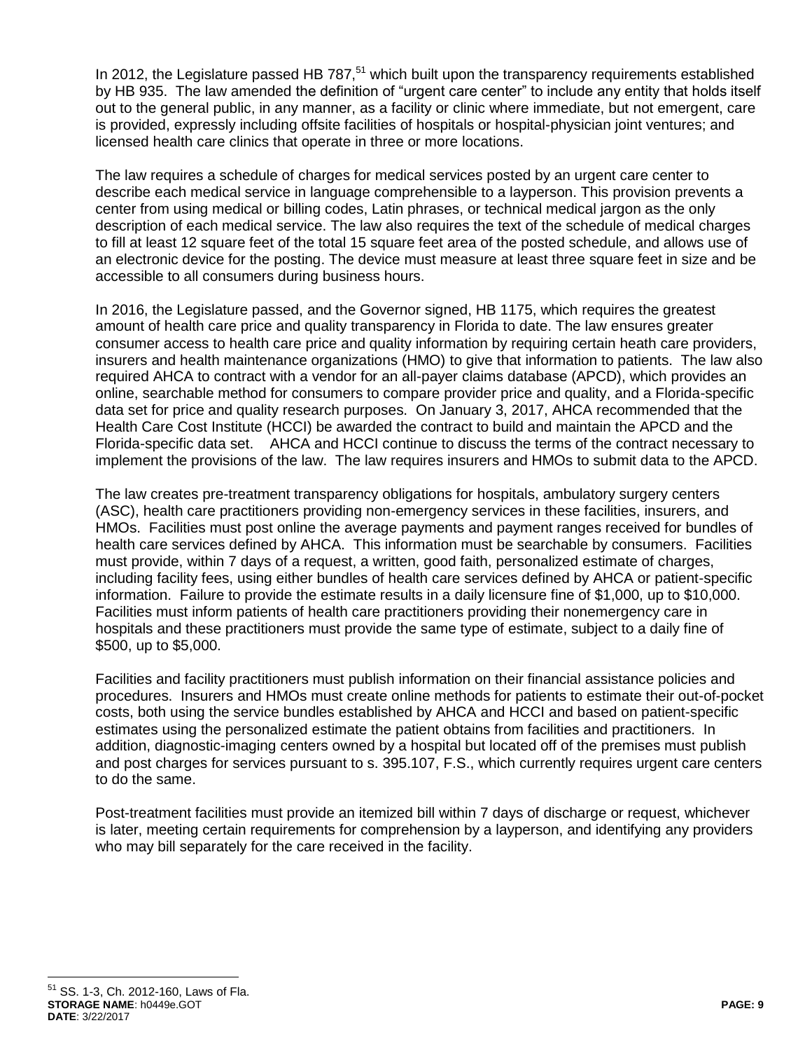In 2012, the Legislature passed HB  $787<sup>51</sup>$  which built upon the transparency requirements established by HB 935. The law amended the definition of "urgent care center" to include any entity that holds itself out to the general public, in any manner, as a facility or clinic where immediate, but not emergent, care is provided, expressly including offsite facilities of hospitals or hospital-physician joint ventures; and licensed health care clinics that operate in three or more locations.

The law requires a schedule of charges for medical services posted by an urgent care center to describe each medical service in language comprehensible to a layperson. This provision prevents a center from using medical or billing codes, Latin phrases, or technical medical jargon as the only description of each medical service. The law also requires the text of the schedule of medical charges to fill at least 12 square feet of the total 15 square feet area of the posted schedule, and allows use of an electronic device for the posting. The device must measure at least three square feet in size and be accessible to all consumers during business hours.

In 2016, the Legislature passed, and the Governor signed, HB 1175, which requires the greatest amount of health care price and quality transparency in Florida to date. The law ensures greater consumer access to health care price and quality information by requiring certain heath care providers, insurers and health maintenance organizations (HMO) to give that information to patients. The law also required AHCA to contract with a vendor for an all-payer claims database (APCD), which provides an online, searchable method for consumers to compare provider price and quality, and a Florida-specific data set for price and quality research purposes. On January 3, 2017, AHCA recommended that the Health Care Cost Institute (HCCI) be awarded the contract to build and maintain the APCD and the Florida-specific data set. AHCA and HCCI continue to discuss the terms of the contract necessary to implement the provisions of the law. The law requires insurers and HMOs to submit data to the APCD.

The law creates pre-treatment transparency obligations for hospitals, ambulatory surgery centers (ASC), health care practitioners providing non-emergency services in these facilities, insurers, and HMOs. Facilities must post online the average payments and payment ranges received for bundles of health care services defined by AHCA. This information must be searchable by consumers. Facilities must provide, within 7 days of a request, a written, good faith, personalized estimate of charges, including facility fees, using either bundles of health care services defined by AHCA or patient-specific information. Failure to provide the estimate results in a daily licensure fine of \$1,000, up to \$10,000. Facilities must inform patients of health care practitioners providing their nonemergency care in hospitals and these practitioners must provide the same type of estimate, subject to a daily fine of \$500, up to \$5,000.

Facilities and facility practitioners must publish information on their financial assistance policies and procedures. Insurers and HMOs must create online methods for patients to estimate their out-of-pocket costs, both using the service bundles established by AHCA and HCCI and based on patient-specific estimates using the personalized estimate the patient obtains from facilities and practitioners. In addition, diagnostic-imaging centers owned by a hospital but located off of the premises must publish and post charges for services pursuant to s. 395.107, F.S., which currently requires urgent care centers to do the same.

Post-treatment facilities must provide an itemized bill within 7 days of discharge or request, whichever is later, meeting certain requirements for comprehension by a layperson, and identifying any providers who may bill separately for the care received in the facility.

**STORAGE NAME**: h0449e.GOT **PAGE: 9 DATE**: 3/22/2017 <sup>51</sup> SS. 1-3, Ch. 2012-160, Laws of Fla.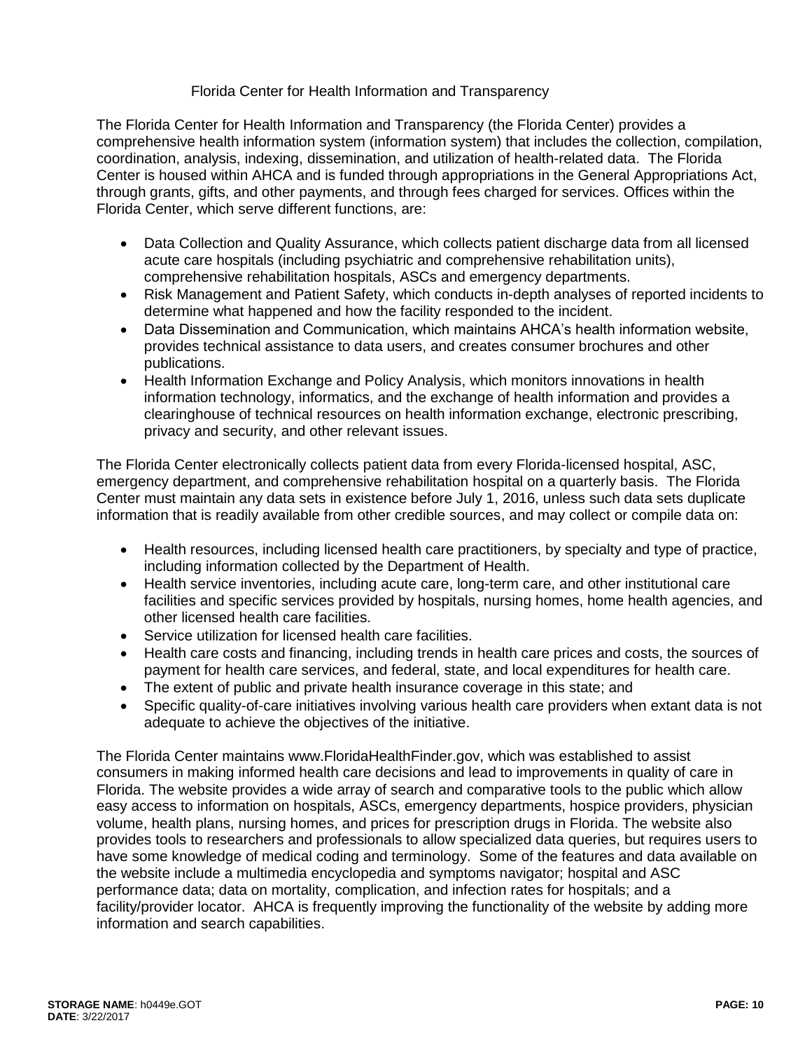### Florida Center for Health Information and Transparency

The Florida Center for Health Information and Transparency (the Florida Center) provides a comprehensive health information system (information system) that includes the collection, compilation, coordination, analysis, indexing, dissemination, and utilization of health-related data. The Florida Center is housed within AHCA and is funded through appropriations in the General Appropriations Act, through grants, gifts, and other payments, and through fees charged for services. Offices within the Florida Center, which serve different functions, are:

- Data Collection and Quality Assurance, which collects patient discharge data from all licensed acute care hospitals (including psychiatric and comprehensive rehabilitation units), comprehensive rehabilitation hospitals, ASCs and emergency departments.
- Risk Management and Patient Safety, which conducts in-depth analyses of reported incidents to determine what happened and how the facility responded to the incident.
- Data Dissemination and Communication, which maintains AHCA's health information website, provides technical assistance to data users, and creates consumer brochures and other publications.
- Health Information Exchange and Policy Analysis, which monitors innovations in health information technology, informatics, and the exchange of health information and provides a clearinghouse of technical resources on health information exchange, electronic prescribing, privacy and security, and other relevant issues.

The Florida Center electronically collects patient data from every Florida-licensed hospital, ASC, emergency department, and comprehensive rehabilitation hospital on a quarterly basis. The Florida Center must maintain any data sets in existence before July 1, 2016, unless such data sets duplicate information that is readily available from other credible sources, and may collect or compile data on:

- Health resources, including licensed health care practitioners, by specialty and type of practice, including information collected by the Department of Health.
- Health service inventories, including acute care, long-term care, and other institutional care facilities and specific services provided by hospitals, nursing homes, home health agencies, and other licensed health care facilities.
- Service utilization for licensed health care facilities.
- Health care costs and financing, including trends in health care prices and costs, the sources of payment for health care services, and federal, state, and local expenditures for health care.
- The extent of public and private health insurance coverage in this state; and
- Specific quality-of-care initiatives involving various health care providers when extant data is not adequate to achieve the objectives of the initiative.

The Florida Center maintains www.FloridaHealthFinder.gov, which was established to assist consumers in making informed health care decisions and lead to improvements in quality of care in Florida. The website provides a wide array of search and comparative tools to the public which allow easy access to information on hospitals, ASCs, emergency departments, hospice providers, physician volume, health plans, nursing homes, and prices for prescription drugs in Florida. The website also provides tools to researchers and professionals to allow specialized data queries, but requires users to have some knowledge of medical coding and terminology. Some of the features and data available on the website include a multimedia encyclopedia and symptoms navigator; hospital and ASC performance data; data on mortality, complication, and infection rates for hospitals; and a facility/provider locator. AHCA is frequently improving the functionality of the website by adding more information and search capabilities.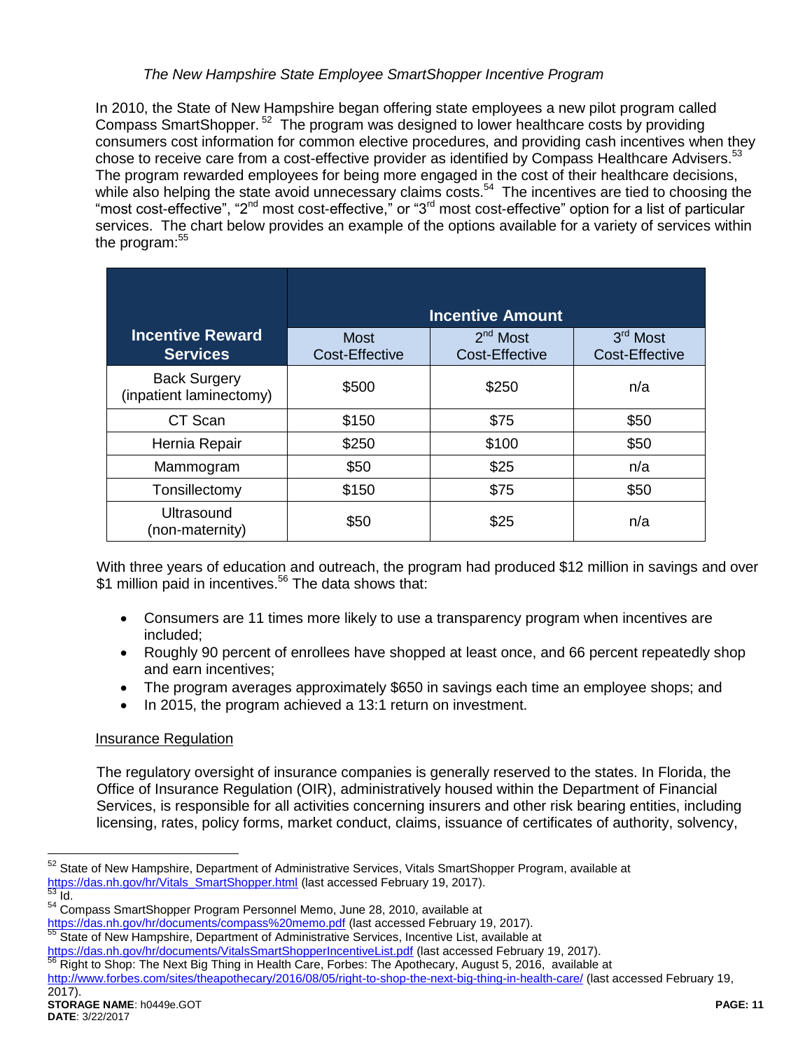### *The New Hampshire State Employee SmartShopper Incentive Program*

In 2010, the State of New Hampshire began offering state employees a new pilot program called Compass SmartShopper.<sup>52</sup> The program was designed to lower healthcare costs by providing consumers cost information for common elective procedures, and providing cash incentives when they chose to receive care from a cost-effective provider as identified by Compass Healthcare Advisers.<sup>53</sup> The program rewarded employees for being more engaged in the cost of their healthcare decisions, while also helping the state avoid unnecessary claims costs.<sup>54</sup> The incentives are tied to choosing the "most cost-effective", "2<sup>nd</sup> most cost-effective," or "3<sup>rd</sup> most cost-effective" option for a list of particular services. The chart below provides an example of the options available for a variety of services within the program: $55$ 

|                                                | <b>Incentive Amount</b>       |                                     |                            |  |
|------------------------------------------------|-------------------------------|-------------------------------------|----------------------------|--|
| <b>Incentive Reward</b><br><b>Services</b>     | <b>Most</b><br>Cost-Effective | $2nd$ Most<br><b>Cost-Effective</b> | 3rd Most<br>Cost-Effective |  |
| <b>Back Surgery</b><br>(inpatient laminectomy) | \$500                         | \$250                               | n/a                        |  |
| CT Scan                                        | \$150                         | \$75                                | \$50                       |  |
| Hernia Repair                                  | \$250                         | \$100                               | \$50                       |  |
| Mammogram                                      | \$50                          | \$25                                | n/a                        |  |
| Tonsillectomy                                  | \$150                         | \$75                                | \$50                       |  |
| Ultrasound<br>(non-maternity)                  | \$50                          | \$25                                | n/a                        |  |

With three years of education and outreach, the program had produced \$12 million in savings and over \$1 million paid in incentives.<sup>56</sup> The data shows that:

- Consumers are 11 times more likely to use a transparency program when incentives are included;
- Roughly 90 percent of enrollees have shopped at least once, and 66 percent repeatedly shop and earn incentives;
- The program averages approximately \$650 in savings each time an employee shops; and
- In 2015, the program achieved a 13:1 return on investment.

### Insurance Regulation

The regulatory oversight of insurance companies is generally reserved to the states. In Florida, the Office of Insurance Regulation (OIR), administratively housed within the Department of Financial Services, is responsible for all activities concerning insurers and other risk bearing entities, including licensing, rates, policy forms, market conduct, claims, issuance of certificates of authority, solvency,

<https://das.nh.gov/hr/documents/VitalsSmartShopperIncentiveList.pdf> (last accessed February 19, 2017).

<sup>56</sup> Right to Shop: The Next Big Thing in Health Care, Forbes: The Apothecary, August 5, 2016, available at

<sup>&</sup>lt;sup>52</sup> State of New Hampshire, Department of Administrative Services, Vitals SmartShopper Program, available at [https://das.nh.gov/hr/Vitals\\_SmartShopper.html](https://das.nh.gov/hr/Vitals_SmartShopper.html) (last accessed February 19, 2017).  $\overline{53}$  Id.

<sup>&</sup>lt;sup>54</sup> Compass SmartShopper Program Personnel Memo, June 28, 2010, available at

<https://das.nh.gov/hr/documents/compass%20memo.pdf> (last accessed February 19, 2017). <sup>55</sup> State of New Hampshire, Department of Administrative Services, Incentive List, available at

<http://www.forbes.com/sites/theapothecary/2016/08/05/right-to-shop-the-next-big-thing-in-health-care/> (last accessed February 19,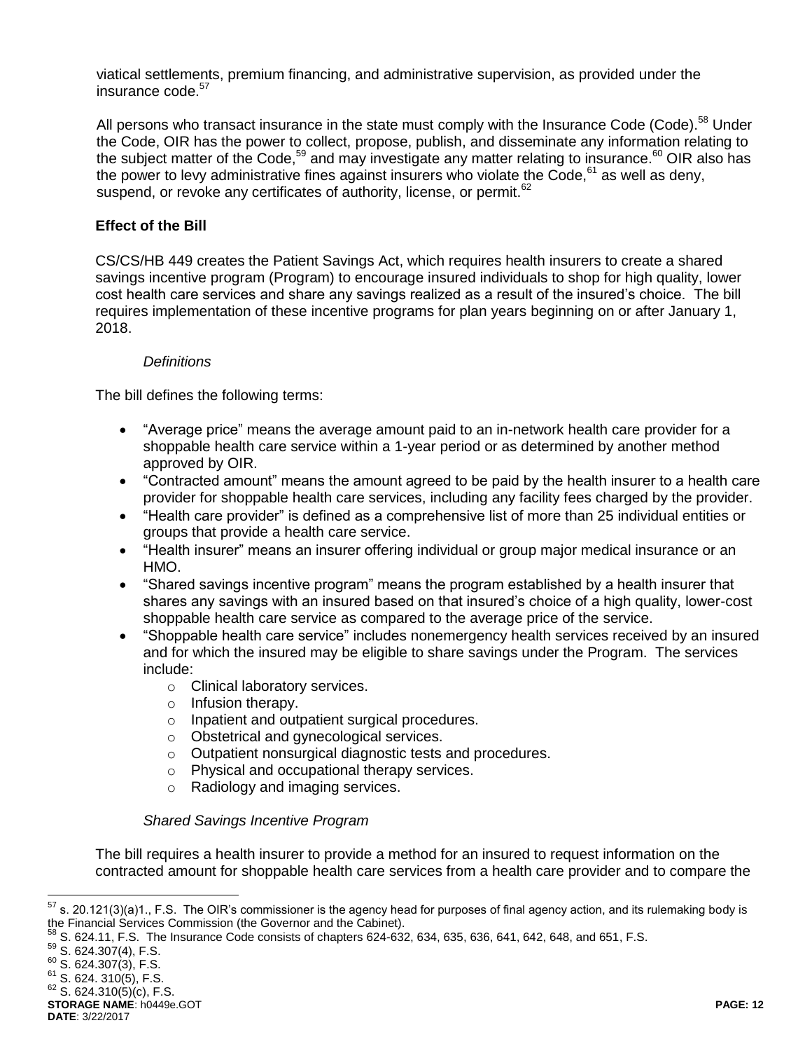viatical settlements, premium financing, and administrative supervision, as provided under the insurance code. 57

All persons who transact insurance in the state must comply with the Insurance Code (Code).<sup>58</sup> Under the Code, OIR has the power to collect, propose, publish, and disseminate any information relating to the subject matter of the Code,<sup>59</sup> and may investigate any matter relating to insurance.<sup>60</sup> OIR also has the power to levy administrative fines against insurers who violate the Code,  $61$  as well as deny, suspend, or revoke any certificates of authority, license, or permit.<sup>62</sup>

### **Effect of the Bill**

CS/CS/HB 449 creates the Patient Savings Act, which requires health insurers to create a shared savings incentive program (Program) to encourage insured individuals to shop for high quality, lower cost health care services and share any savings realized as a result of the insured's choice. The bill requires implementation of these incentive programs for plan years beginning on or after January 1, 2018.

#### *Definitions*

The bill defines the following terms:

- "Average price" means the average amount paid to an in-network health care provider for a shoppable health care service within a 1-year period or as determined by another method approved by OIR.
- "Contracted amount" means the amount agreed to be paid by the health insurer to a health care provider for shoppable health care services, including any facility fees charged by the provider.
- "Health care provider" is defined as a comprehensive list of more than 25 individual entities or groups that provide a health care service.
- "Health insurer" means an insurer offering individual or group major medical insurance or an HMO.
- "Shared savings incentive program" means the program established by a health insurer that shares any savings with an insured based on that insured's choice of a high quality, lower-cost shoppable health care service as compared to the average price of the service.
- "Shoppable health care service" includes nonemergency health services received by an insured and for which the insured may be eligible to share savings under the Program. The services include:
	- o Clinical laboratory services.
	- o Infusion therapy.
	- o Inpatient and outpatient surgical procedures.
	- o Obstetrical and gynecological services.
	- o Outpatient nonsurgical diagnostic tests and procedures.
	- o Physical and occupational therapy services.
	- o Radiology and imaging services.

#### *Shared Savings Incentive Program*

The bill requires a health insurer to provide a method for an insured to request information on the contracted amount for shoppable health care services from a health care provider and to compare the

s. 20.121(3)(a)1., F.S. The OIR's commissioner is the agency head for purposes of final agency action, and its rulemaking body is the Financial Services Commission (the Governor and the Cabinet).

 $^{58}$  S. 624.11, F.S. The Insurance Code consists of chapters 624-632, 634, 635, 636, 641, 642, 648, and 651, F.S.

<sup>59</sup> S. 624.307(4), F.S.

 $60$  S. 624.307(3), F.S.

 $61$  S. 624. 310(5), F.S.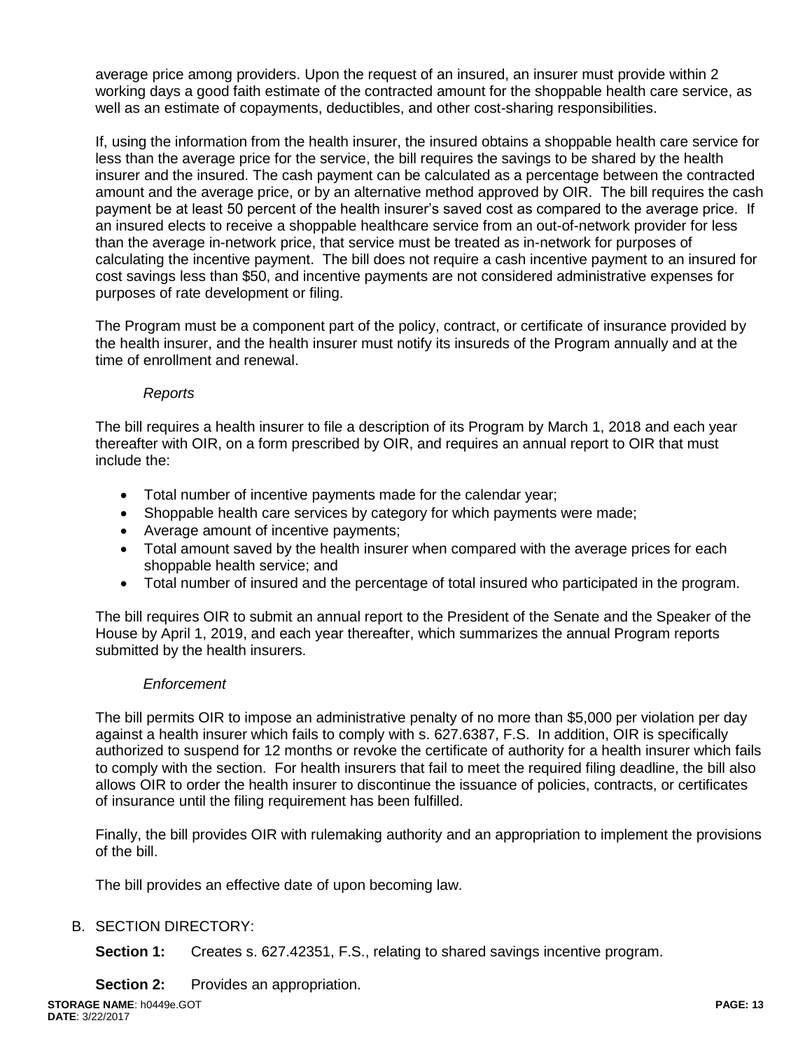average price among providers. Upon the request of an insured, an insurer must provide within 2 working days a good faith estimate of the contracted amount for the shoppable health care service, as well as an estimate of copayments, deductibles, and other cost-sharing responsibilities.

If, using the information from the health insurer, the insured obtains a shoppable health care service for less than the average price for the service, the bill requires the savings to be shared by the health insurer and the insured. The cash payment can be calculated as a percentage between the contracted amount and the average price, or by an alternative method approved by OIR. The bill requires the cash payment be at least 50 percent of the health insurer's saved cost as compared to the average price. If an insured elects to receive a shoppable healthcare service from an out-of-network provider for less than the average in-network price, that service must be treated as in-network for purposes of calculating the incentive payment. The bill does not require a cash incentive payment to an insured for cost savings less than \$50, and incentive payments are not considered administrative expenses for purposes of rate development or filing.

The Program must be a component part of the policy, contract, or certificate of insurance provided by the health insurer, and the health insurer must notify its insureds of the Program annually and at the time of enrollment and renewal.

# *Reports*

The bill requires a health insurer to file a description of its Program by March 1, 2018 and each year thereafter with OIR, on a form prescribed by OIR, and requires an annual report to OIR that must include the:

- Total number of incentive payments made for the calendar year;
- Shoppable health care services by category for which payments were made;
- Average amount of incentive payments;
- Total amount saved by the health insurer when compared with the average prices for each shoppable health service; and
- Total number of insured and the percentage of total insured who participated in the program.

The bill requires OIR to submit an annual report to the President of the Senate and the Speaker of the House by April 1, 2019, and each year thereafter, which summarizes the annual Program reports submitted by the health insurers.

### *Enforcement*

The bill permits OIR to impose an administrative penalty of no more than \$5,000 per violation per day against a health insurer which fails to comply with s. 627.6387, F.S. In addition, OIR is specifically authorized to suspend for 12 months or revoke the certificate of authority for a health insurer which fails to comply with the section. For health insurers that fail to meet the required filing deadline, the bill also allows OIR to order the health insurer to discontinue the issuance of policies, contracts, or certificates of insurance until the filing requirement has been fulfilled.

Finally, the bill provides OIR with rulemaking authority and an appropriation to implement the provisions of the bill.

The bill provides an effective date of upon becoming law.

### B. SECTION DIRECTORY:

**Section 1:** Creates s. 627.42351, F.S., relating to shared savings incentive program.

**Section 2:** Provides an appropriation.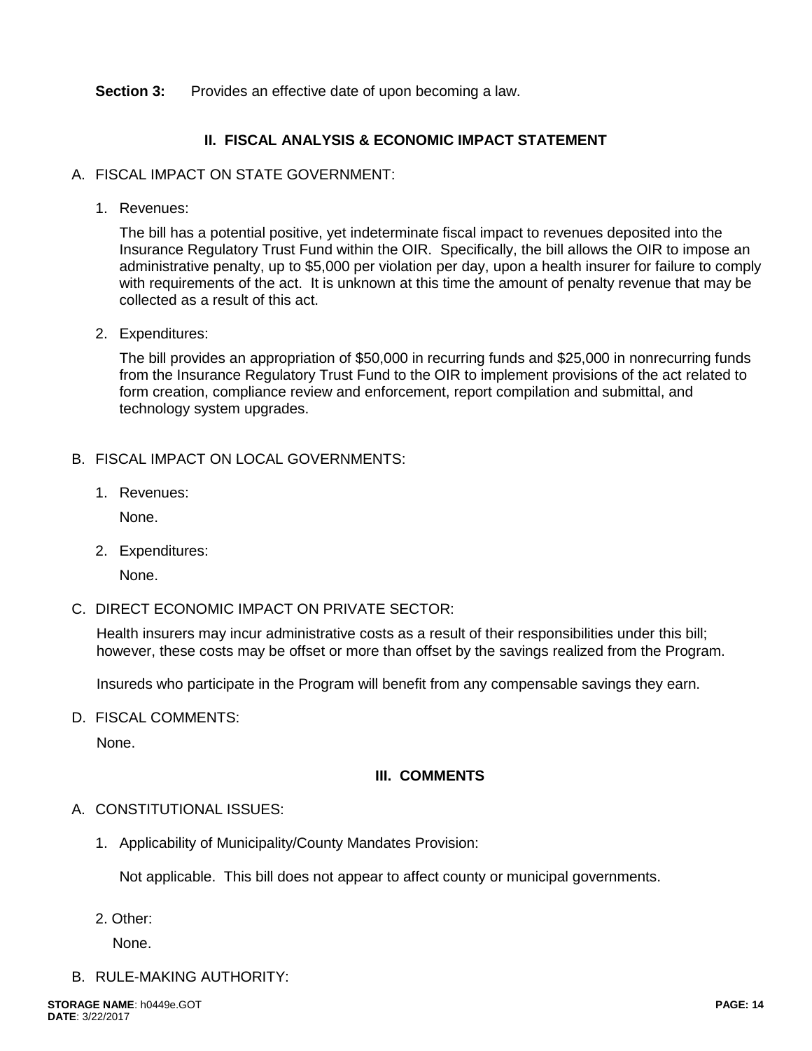#### **Section 3:** Provides an effective date of upon becoming a law.

### **II. FISCAL ANALYSIS & ECONOMIC IMPACT STATEMENT**

#### A. FISCAL IMPACT ON STATE GOVERNMENT:

1. Revenues:

The bill has a potential positive, yet indeterminate fiscal impact to revenues deposited into the Insurance Regulatory Trust Fund within the OIR. Specifically, the bill allows the OIR to impose an administrative penalty, up to \$5,000 per violation per day, upon a health insurer for failure to comply with requirements of the act. It is unknown at this time the amount of penalty revenue that may be collected as a result of this act.

2. Expenditures:

The bill provides an appropriation of \$50,000 in recurring funds and \$25,000 in nonrecurring funds from the Insurance Regulatory Trust Fund to the OIR to implement provisions of the act related to form creation, compliance review and enforcement, report compilation and submittal, and technology system upgrades.

#### B. FISCAL IMPACT ON LOCAL GOVERNMENTS:

1. Revenues:

None.

2. Expenditures:

None.

C. DIRECT ECONOMIC IMPACT ON PRIVATE SECTOR:

Health insurers may incur administrative costs as a result of their responsibilities under this bill; however, these costs may be offset or more than offset by the savings realized from the Program.

Insureds who participate in the Program will benefit from any compensable savings they earn.

D. FISCAL COMMENTS:

None.

# **III. COMMENTS**

#### A. CONSTITUTIONAL ISSUES:

1. Applicability of Municipality/County Mandates Provision:

Not applicable. This bill does not appear to affect county or municipal governments.

2. Other:

None.

B. RULE-MAKING AUTHORITY: